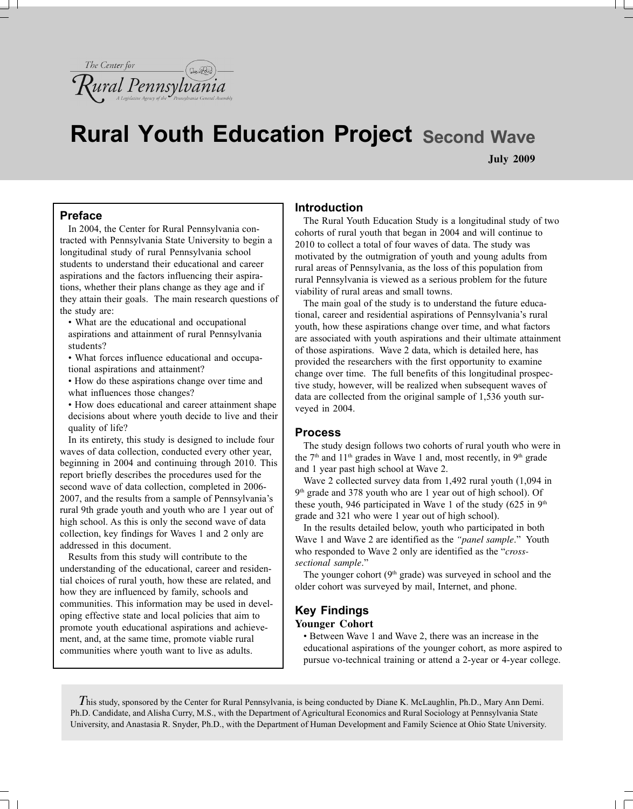

# **Rural Youth Education Project Second Wave**

**July 2009**

# **Preface**

In 2004, the Center for Rural Pennsylvania contracted with Pennsylvania State University to begin a longitudinal study of rural Pennsylvania school students to understand their educational and career aspirations and the factors influencing their aspirations, whether their plans change as they age and if they attain their goals. The main research questions of the study are:

• What are the educational and occupational aspirations and attainment of rural Pennsylvania students?

• What forces influence educational and occupational aspirations and attainment?

• How do these aspirations change over time and what influences those changes?

• How does educational and career attainment shape decisions about where youth decide to live and their quality of life?

In its entirety, this study is designed to include four waves of data collection, conducted every other year, beginning in 2004 and continuing through 2010. This report briefly describes the procedures used for the second wave of data collection, completed in 2006- 2007, and the results from a sample of Pennsylvania's rural 9th grade youth and youth who are 1 year out of high school. As this is only the second wave of data collection, key findings for Waves 1 and 2 only are addressed in this document.

Results from this study will contribute to the understanding of the educational, career and residential choices of rural youth, how these are related, and how they are influenced by family, schools and communities. This information may be used in developing effective state and local policies that aim to promote youth educational aspirations and achievement, and, at the same time, promote viable rural communities where youth want to live as adults.

## **Introduction**

The Rural Youth Education Study is a longitudinal study of two cohorts of rural youth that began in 2004 and will continue to 2010 to collect a total of four waves of data. The study was motivated by the outmigration of youth and young adults from rural areas of Pennsylvania, as the loss of this population from rural Pennsylvania is viewed as a serious problem for the future viability of rural areas and small towns.

The main goal of the study is to understand the future educational, career and residential aspirations of Pennsylvania's rural youth, how these aspirations change over time, and what factors are associated with youth aspirations and their ultimate attainment of those aspirations. Wave 2 data, which is detailed here, has provided the researchers with the first opportunity to examine change over time. The full benefits of this longitudinal prospective study, however, will be realized when subsequent waves of data are collected from the original sample of 1,536 youth surveyed in 2004.

## **Process**

The study design follows two cohorts of rural youth who were in the  $7<sup>th</sup>$  and  $11<sup>th</sup>$  grades in Wave 1 and, most recently, in  $9<sup>th</sup>$  grade and 1 year past high school at Wave 2.

Wave 2 collected survey data from 1,492 rural youth (1,094 in 9<sup>th</sup> grade and 378 youth who are 1 year out of high school). Of these youth, 946 participated in Wave 1 of the study  $(625 \text{ in } 9^{\text{th}})$ grade and 321 who were 1 year out of high school).

In the results detailed below, youth who participated in both Wave 1 and Wave 2 are identified as the *"panel sample*." Youth who responded to Wave 2 only are identified as the "*crosssectional sample*."

The younger cohort  $(9<sup>th</sup> \text{ grade})$  was surveyed in school and the older cohort was surveyed by mail, Internet, and phone.

# **Key Findings Younger Cohort**

• Between Wave 1 and Wave 2, there was an increase in the educational aspirations of the younger cohort, as more aspired to pursue vo-technical training or attend a 2-year or 4-year college.

*T*his study, sponsored by the Center for Rural Pennsylvania, is being conducted by Diane K. McLaughlin, Ph.D., Mary Ann Demi. Ph.D. Candidate, and Alisha Curry, M.S., with the Department of Agricultural Economics and Rural Sociology at Pennsylvania State University, and Anastasia R. Snyder, Ph.D., with the Department of Human Development and Family Science at Ohio State University.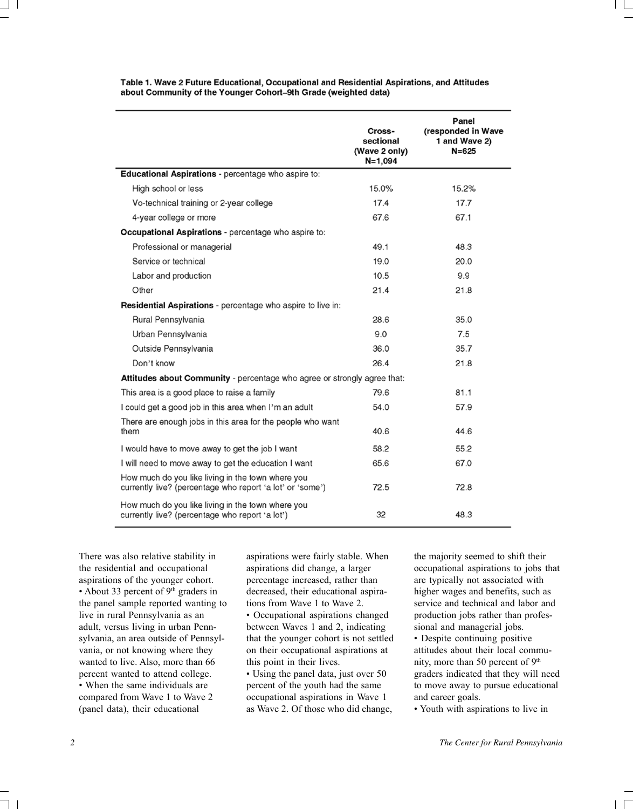|                                                                                                                | Cross-<br>sectional<br>(Wave 2 only)<br>$N = 1,094$ | Panel<br>(responded in Wave<br>1 and Wave 2)<br>$N = 625$ |
|----------------------------------------------------------------------------------------------------------------|-----------------------------------------------------|-----------------------------------------------------------|
| Educational Aspirations - percentage who aspire to:                                                            |                                                     |                                                           |
| High school or less                                                                                            | 15.0%                                               | 15.2%                                                     |
| Vo-technical training or 2-year college                                                                        | 17.4                                                | 17.7                                                      |
| 4-year college or more                                                                                         | 67.6                                                | 67.1                                                      |
| Occupational Aspirations - percentage who aspire to:                                                           |                                                     |                                                           |
| Professional or managerial                                                                                     | 49.1                                                | 48.3                                                      |
| Service or technical                                                                                           | 19.0                                                | 20.0                                                      |
| Labor and production                                                                                           | 10.5                                                | 9.9                                                       |
| Other                                                                                                          | 21.4                                                | 21.8                                                      |
| Residential Aspirations - percentage who aspire to live in:                                                    |                                                     |                                                           |
| Rural Pennsylvania                                                                                             | 28.6                                                | 35.0                                                      |
| Urban Pennsylvania                                                                                             | 9.0                                                 | 7.5                                                       |
| Outside Pennsylvania                                                                                           | 36.0                                                | 35.7                                                      |
| Don't know                                                                                                     | 26.4                                                | 21.8                                                      |
| Attitudes about Community - percentage who agree or strongly agree that:                                       |                                                     |                                                           |
| This area is a good place to raise a family                                                                    | 79.6                                                | 81.1                                                      |
| I could get a good job in this area when I'm an adult                                                          | 54.0                                                | 57.9                                                      |
| There are enough jobs in this area for the people who want<br>them                                             | 40.6                                                | 44.6                                                      |
| I would have to move away to get the job I want                                                                | 58.2                                                | 55.2                                                      |
| I will need to move away to get the education I want                                                           | 65.6                                                | 67.0                                                      |
| How much do you like living in the town where you<br>currently live? (percentage who report 'a lot' or 'some') | 72.5                                                | 72.8                                                      |
| How much do you like living in the town where you<br>currently live? (percentage who report 'a lot')           | 32                                                  | 48.3                                                      |

Table 1. Wave 2 Future Educational, Occupational and Residential Aspirations, and Attitudes about Community of the Younger Cohort-9th Grade (weighted data)

There was also relative stability in the residential and occupational aspirations of the younger cohort. • About 33 percent of 9<sup>th</sup> graders in the panel sample reported wanting to live in rural Pennsylvania as an adult, versus living in urban Pennsylvania, an area outside of Pennsylvania, or not knowing where they wanted to live. Also, more than 66 percent wanted to attend college. • When the same individuals are compared from Wave 1 to Wave 2 (panel data), their educational

aspirations were fairly stable. When aspirations did change, a larger percentage increased, rather than decreased, their educational aspirations from Wave 1 to Wave 2. • Occupational aspirations changed between Waves 1 and 2, indicating that the younger cohort is not settled on their occupational aspirations at this point in their lives.

• Using the panel data, just over 50 percent of the youth had the same occupational aspirations in Wave 1 as Wave 2. Of those who did change, the majority seemed to shift their occupational aspirations to jobs that are typically not associated with higher wages and benefits, such as service and technical and labor and production jobs rather than professional and managerial jobs.

• Despite continuing positive attitudes about their local community, more than 50 percent of 9<sup>th</sup> graders indicated that they will need to move away to pursue educational and career goals.

• Youth with aspirations to live in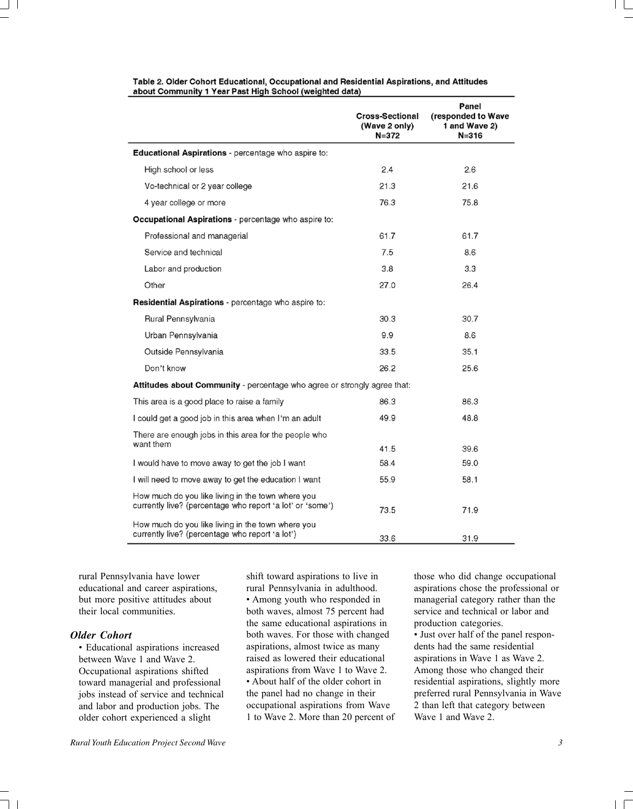|                                                                                                                | <b>Cross-Sectional</b><br>(Wave 2 only)<br>$N = 372$ | Panel<br>(responded to Wave<br>1 and Wave 2)<br>$N = 316$ |
|----------------------------------------------------------------------------------------------------------------|------------------------------------------------------|-----------------------------------------------------------|
| Educational Aspirations - percentage who aspire to:                                                            |                                                      |                                                           |
| High school or less                                                                                            | 2.4                                                  | 2.6                                                       |
| Vo-technical or 2 year college                                                                                 | 21.3                                                 | 21.6                                                      |
| 4 year college or more                                                                                         | 76.3                                                 | 75.8                                                      |
| <b>Occupational Aspirations</b> - percentage who aspire to:                                                    |                                                      |                                                           |
| Professional and managerial                                                                                    | 61.7                                                 | 61.7                                                      |
| Service and technical                                                                                          | 7.5                                                  | 8.6                                                       |
| Labor and production                                                                                           | 3.8                                                  | 3.3                                                       |
| Other                                                                                                          | 27.0                                                 | 26.4                                                      |
| Residential Aspirations - percentage who aspire to:                                                            |                                                      |                                                           |
| Rural Pennsylvania                                                                                             | 30.3                                                 | 30.7                                                      |
| Urban Pennsylvania                                                                                             | 9.9                                                  | 8.6                                                       |
| Outside Pennsylvania                                                                                           | 33.5                                                 | 35.1                                                      |
| Don't know                                                                                                     | 26.2                                                 | 25.6                                                      |
| Attitudes about Community - percentage who agree or strongly agree that:                                       |                                                      |                                                           |
| This area is a good place to raise a family                                                                    | 86.3                                                 | 86.3                                                      |
| I could get a good job in this area when I'm an adult                                                          | 49.9                                                 | 48.8                                                      |
| There are enough jobs in this area for the people who                                                          |                                                      |                                                           |
| want them                                                                                                      | 41.5                                                 | 39.6                                                      |
| I would have to move away to get the job I want                                                                | 58.4                                                 | 59.0                                                      |
| I will need to move away to get the education I want                                                           | 55.9                                                 | 58.1                                                      |
| How much do you like living in the town where you<br>currently live? (percentage who report 'a lot' or 'some') | 73.5                                                 | 71.9                                                      |
| How much do you like living in the town where you<br>currently live? (percentage who report 'a lot')           | 33.6                                                 | 31.9                                                      |

#### Table 2. Older Cohort Educational, Occupational and Residential Aspirations, and Attitudes about Community 1 Year Past High School (weighted data)

rural Pennsylvania have lower educational and career aspirations, but more positive attitudes about their local communities.

#### *Older Cohort*

• Educational aspirations increased between Wave 1 and Wave 2. Occupational aspirations shifted toward managerial and professional jobs instead of service and technical and labor and production jobs. The older cohort experienced a slight

*Rural Youth Education Project Second Wave 3*

shift toward aspirations to live in rural Pennsylvania in adulthood. • Among youth who responded in both waves, almost 75 percent had the same educational aspirations in both waves. For those with changed aspirations, almost twice as many raised as lowered their educational aspirations from Wave 1 to Wave 2. • About half of the older cohort in the panel had no change in their occupational aspirations from Wave 1 to Wave 2. More than 20 percent of those who did change occupational aspirations chose the professional or managerial category rather than the service and technical or labor and production categories.

• Just over half of the panel respondents had the same residential aspirations in Wave 1 as Wave 2. Among those who changed their residential aspirations, slightly more preferred rural Pennsylvania in Wave 2 than left that category between Wave 1 and Wave 2.